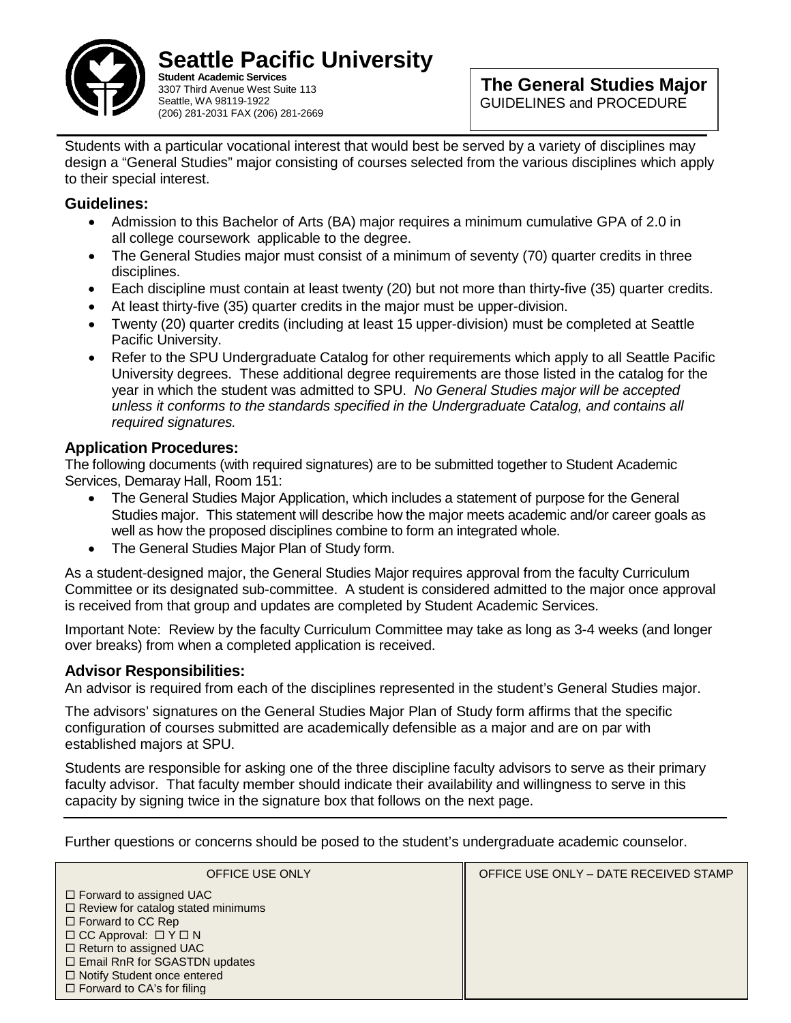

**Seattle Pacific University Student Academic Services**

3307 Third Avenue West Suite 113 Seattle, WA 98119-1922 (206) 281-2031 FAX (206) 281-2669

Students with a particular vocational interest that would best be served by a variety of disciplines may design a "General Studies" major consisting of courses selected from the various disciplines which apply to their special interest.

### **Guidelines:**

- Admission to this Bachelor of Arts (BA) major requires a minimum cumulative GPA of 2.0 in all college coursework applicable to the degree.
- The General Studies major must consist of a minimum of seventy (70) quarter credits in three disciplines.
- Each discipline must contain at least twenty (20) but not more than thirty-five (35) quarter credits.
- At least thirty-five (35) quarter credits in the major must be upper-division.
- Twenty (20) quarter credits (including at least 15 upper-division) must be completed at Seattle Pacific University.
- Refer to the SPU Undergraduate Catalog for other requirements which apply to all Seattle Pacific University degrees. These additional degree requirements are those listed in the catalog for the year in which the student was admitted to SPU. *No General Studies major will be accepted unless it conforms to the standards specified in the Undergraduate Catalog, and contains all required signatures.*

## **Application Procedures:**

The following documents (with required signatures) are to be submitted together to Student Academic Services, Demaray Hall, Room 151:

- The General Studies Major Application, which includes a statement of purpose for the General Studies major. This statement will describe how the major meets academic and/or career goals as well as how the proposed disciplines combine to form an integrated whole.
- The General Studies Major Plan of Study form.

As a student-designed major, the General Studies Major requires approval from the faculty Curriculum Committee or its designated sub-committee. A student is considered admitted to the major once approval is received from that group and updates are completed by Student Academic Services.

Important Note: Review by the faculty Curriculum Committee may take as long as 3-4 weeks (and longer over breaks) from when a completed application is received.

# **Advisor Responsibilities:**

An advisor is required from each of the disciplines represented in the student's General Studies major.

The advisors' signatures on the General Studies Major Plan of Study form affirms that the specific configuration of courses submitted are academically defensible as a major and are on par with established majors at SPU.

Students are responsible for asking one of the three discipline faculty advisors to serve as their primary faculty advisor. That faculty member should indicate their availability and willingness to serve in this capacity by signing twice in the signature box that follows on the next page.

Further questions or concerns should be posed to the student's undergraduate academic counselor.

| OFFICE USE ONLY                                                                                                                                                                                                                                       | OFFICE USE ONLY - DATE RECEIVED STAMP |
|-------------------------------------------------------------------------------------------------------------------------------------------------------------------------------------------------------------------------------------------------------|---------------------------------------|
| $\Box$ Forward to assigned UAC<br>$\Box$ Review for catalog stated minimums<br>$\Box$ Forward to CC Rep<br>$\Box$ CC Approval: $\Box$ Y $\Box$ N<br>$\Box$ Return to assigned UAC<br>□ Email RnR for SGASTDN updates<br>□ Notify Student once entered |                                       |
| $\Box$ Forward to CA's for filing                                                                                                                                                                                                                     |                                       |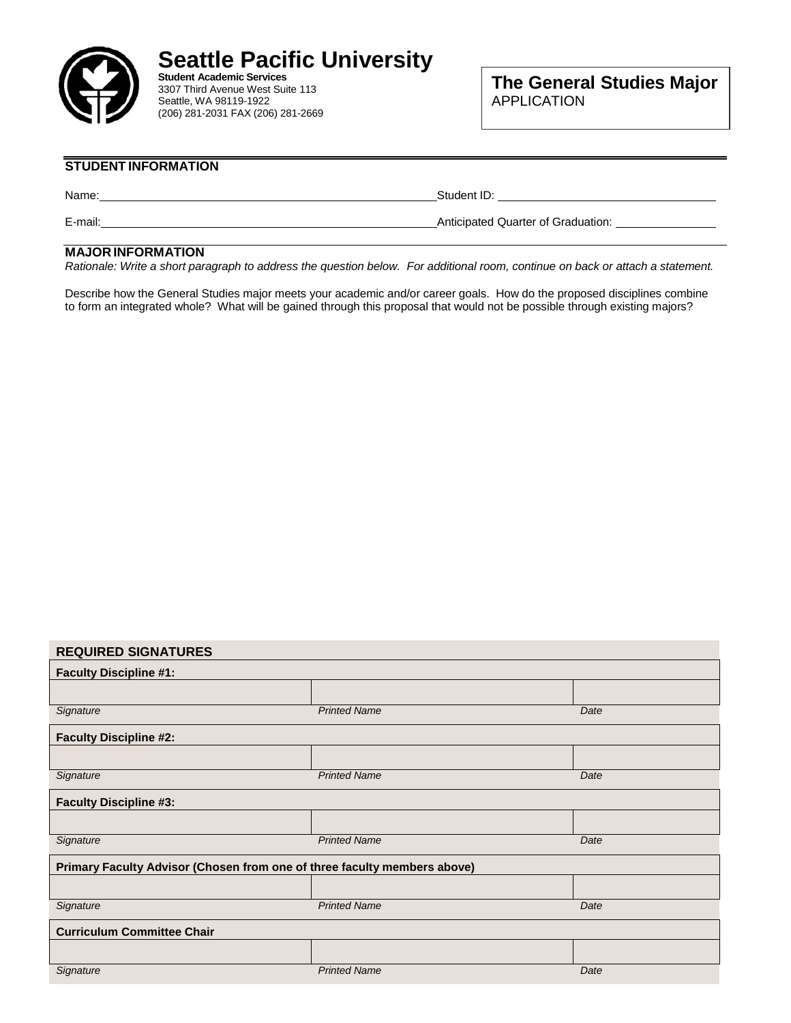

#### **STUDENT INFORMATION**

Name: Name: Name: Name: Name: Name: Name: Name: Name: Name: Name: Name: Name: Name: Name: Name: Name: Name: Name: Name: Name: Name: Name: Name: Name: Name: Name: Name: Name: Name: Name: Name: Name: Name: Name: Name: Name:

E-mail: **Anticipated Quarter of Graduation:** 

#### **MAJOR INFORMATION**

Rationale: Write a short paragraph to address the question below. For additional room, continue on back or attach a statement.

Describe how the General Studies major meets your academic and/or career goals. How do the proposed disciplines combine to form an integrated whole? What will be gained through this proposal that would not be possible through existing majors?

#### **REQUIRED SIGNATURES**

| <b>Faculty Discipline #1:</b>                                            |                     |      |  |  |  |  |
|--------------------------------------------------------------------------|---------------------|------|--|--|--|--|
|                                                                          |                     |      |  |  |  |  |
| Signature                                                                | <b>Printed Name</b> | Date |  |  |  |  |
| <b>Faculty Discipline #2:</b>                                            |                     |      |  |  |  |  |
|                                                                          |                     |      |  |  |  |  |
| Signature                                                                | <b>Printed Name</b> | Date |  |  |  |  |
| <b>Faculty Discipline #3:</b>                                            |                     |      |  |  |  |  |
|                                                                          |                     |      |  |  |  |  |
| Signature                                                                | <b>Printed Name</b> | Date |  |  |  |  |
| Primary Faculty Advisor (Chosen from one of three faculty members above) |                     |      |  |  |  |  |
|                                                                          |                     |      |  |  |  |  |
| Signature                                                                | <b>Printed Name</b> | Date |  |  |  |  |
| <b>Curriculum Committee Chair</b>                                        |                     |      |  |  |  |  |
|                                                                          |                     |      |  |  |  |  |
| Signature                                                                | <b>Printed Name</b> | Date |  |  |  |  |